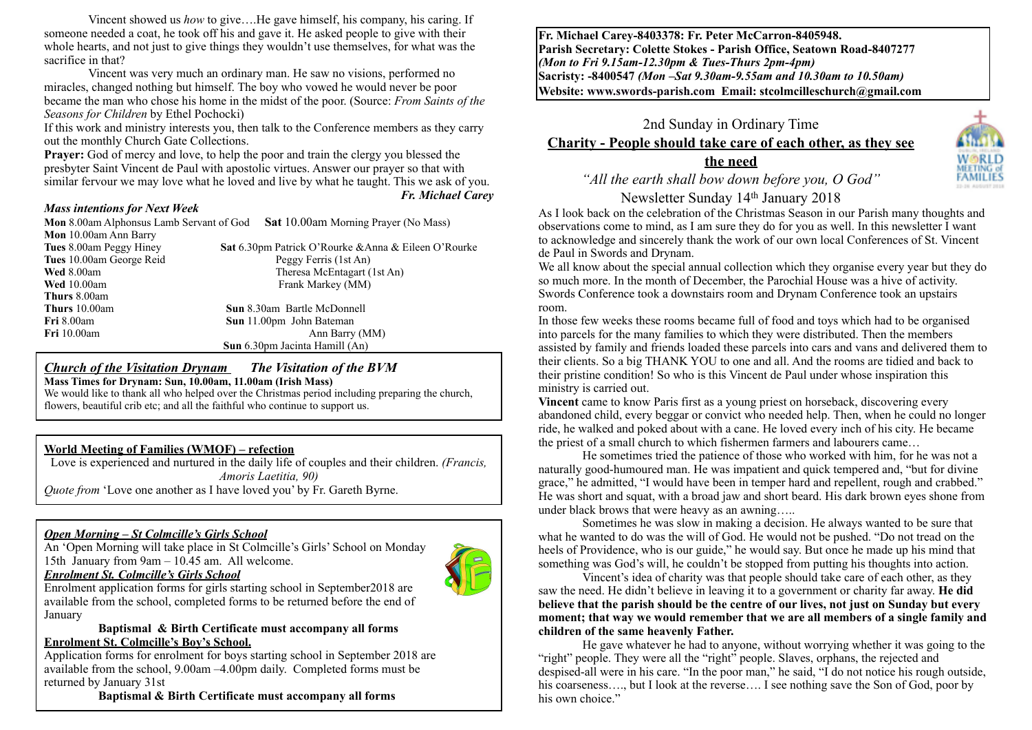Vincent showed us *how* to give….He gave himself, his company, his caring. If someone needed a coat, he took off his and gave it. He asked people to give with their whole hearts, and not just to give things they wouldn't use themselves, for what was the sacrifice in that?

Vincent was very much an ordinary man. He saw no visions, performed no miracles, changed nothing but himself. The boy who vowed he would never be poor became the man who chose his home in the midst of the poor. (Source: *From Saints of the Seasons for Children* by Ethel Pochocki)

If this work and ministry interests you, then talk to the Conference members as they carry out the monthly Church Gate Collections.

**Prayer:** God of mercy and love, to help the poor and train the clergy you blessed the presbyter Saint Vincent de Paul with apostolic virtues. Answer our prayer so that with similar fervour we may love what he loved and live by what he taught. This we ask of you.

#### *Mass intentions for Next Week*

**Thurs** 8.00am

*Fr. Michael Carey*

**Mon** 8.00am Alphonsus Lamb Servant of God **Sat** 10.00am Morning Prayer (No Mass) **Mon** 10.00am Ann Barry **Tues** 8.00am Peggy Hiney **Sat** 6.30pm Patrick O'Rourke &Anna & Eileen O'Rourke **Tues** 10.00am George Reid Peggy Ferris (1st An) **Wed** 8.00am Theresa McEntagart (1st An)

**Wed** 10.00am Frank Markey (MM) **Thurs** 10.00am **Sun** 8.30am Bartle McDonnell **Fri** 8.00am **Sun** 11.00pm John Bateman **Fri** 10.00am **Ann Barry (MM)** Ann Barry (MM) **Sun** 6.30pm Jacinta Hamill (An)

#### *Church of the Visitation Drynam**The Visitation of the BVM* **Mass Times for Drynam: Sun, 10.00am, 11.00am (Irish Mass)**

We would like to thank all who helped over the Christmas period including preparing the church, flowers, beautiful crib etc; and all the faithful who continue to support us.

### **World Meeting of Families (WMOF) – refection**

Love is experienced and nurtured in the daily life of couples and their children. *(Francis, Amoris Laetitia, 90) Quote from* 'Love one another as I have loved you' by Fr. Gareth Byrne.

#### *Open Morning – St Colmcille's Girls School*

An 'Open Morning will take place in St Colmcille's Girls' School on Monday 15th January from 9am – 10.45 am. All welcome.





Enrolment application forms for girls starting school in September2018 are available from the school, completed forms to be returned before the end of January

**Baptismal & Birth Certificate must accompany all forms Enrolment St. Colmcille's Boy's School.** 

Application forms for enrolment for boys starting school in September 2018 are available from the school, 9.00am –4.00pm daily. Completed forms must be returned by January 31st

**Baptismal & Birth Certificate must accompany all forms**

**Fr. Michael Carey-8403378: Fr. Peter McCarron-8405948. Parish Secretary: Colette Stokes - Parish Office, Seatown Road-8407277**  *(Mon to Fri 9.15am-12.30pm & Tues-Thurs 2pm-4pm)*  **Sacristy: -8400547** *(Mon –Sat 9.30am-9.55am and 10.30am to 10.50am)* **Website: [www.swords-parish.com Email:](http://www.swords-parish.com%20%20email) stcolmcilleschurch@gmail.com**



*"All the earth shall bow down before you, O God"* 

Newsletter Sunday 14th January 2018

As I look back on the celebration of the Christmas Season in our Parish many thoughts and observations come to mind, as I am sure they do for you as well. In this newsletter I want to acknowledge and sincerely thank the work of our own local Conferences of St. Vincent de Paul in Swords and Drynam.

We all know about the special annual collection which they organise every year but they do so much more. In the month of December, the Parochial House was a hive of activity. Swords Conference took a downstairs room and Drynam Conference took an upstairs room.

In those few weeks these rooms became full of food and toys which had to be organised into parcels for the many families to which they were distributed. Then the members assisted by family and friends loaded these parcels into cars and vans and delivered them to their clients. So a big THANK YOU to one and all. And the rooms are tidied and back to their pristine condition! So who is this Vincent de Paul under whose inspiration this ministry is carried out.

**Vincent** came to know Paris first as a young priest on horseback, discovering every abandoned child, every beggar or convict who needed help. Then, when he could no longer ride, he walked and poked about with a cane. He loved every inch of his city. He became the priest of a small church to which fishermen farmers and labourers came…

He sometimes tried the patience of those who worked with him, for he was not a naturally good-humoured man. He was impatient and quick tempered and, "but for divine grace," he admitted, "I would have been in temper hard and repellent, rough and crabbed." He was short and squat, with a broad jaw and short beard. His dark brown eyes shone from under black brows that were heavy as an awning…..

Sometimes he was slow in making a decision. He always wanted to be sure that what he wanted to do was the will of God. He would not be pushed. "Do not tread on the heels of Providence, who is our guide," he would say. But once he made up his mind that something was God's will, he couldn't be stopped from putting his thoughts into action.

Vincent's idea of charity was that people should take care of each other, as they saw the need. He didn't believe in leaving it to a government or charity far away. **He did believe that the parish should be the centre of our lives, not just on Sunday but every moment; that way we would remember that we are all members of a single family and children of the same heavenly Father.** 

He gave whatever he had to anyone, without worrying whether it was going to the "right" people. They were all the "right" people. Slaves, orphans, the rejected and despised-all were in his care. "In the poor man," he said, "I do not notice his rough outside, his coarseness..., but I look at the reverse.... I see nothing save the Son of God, poor by his own choice."